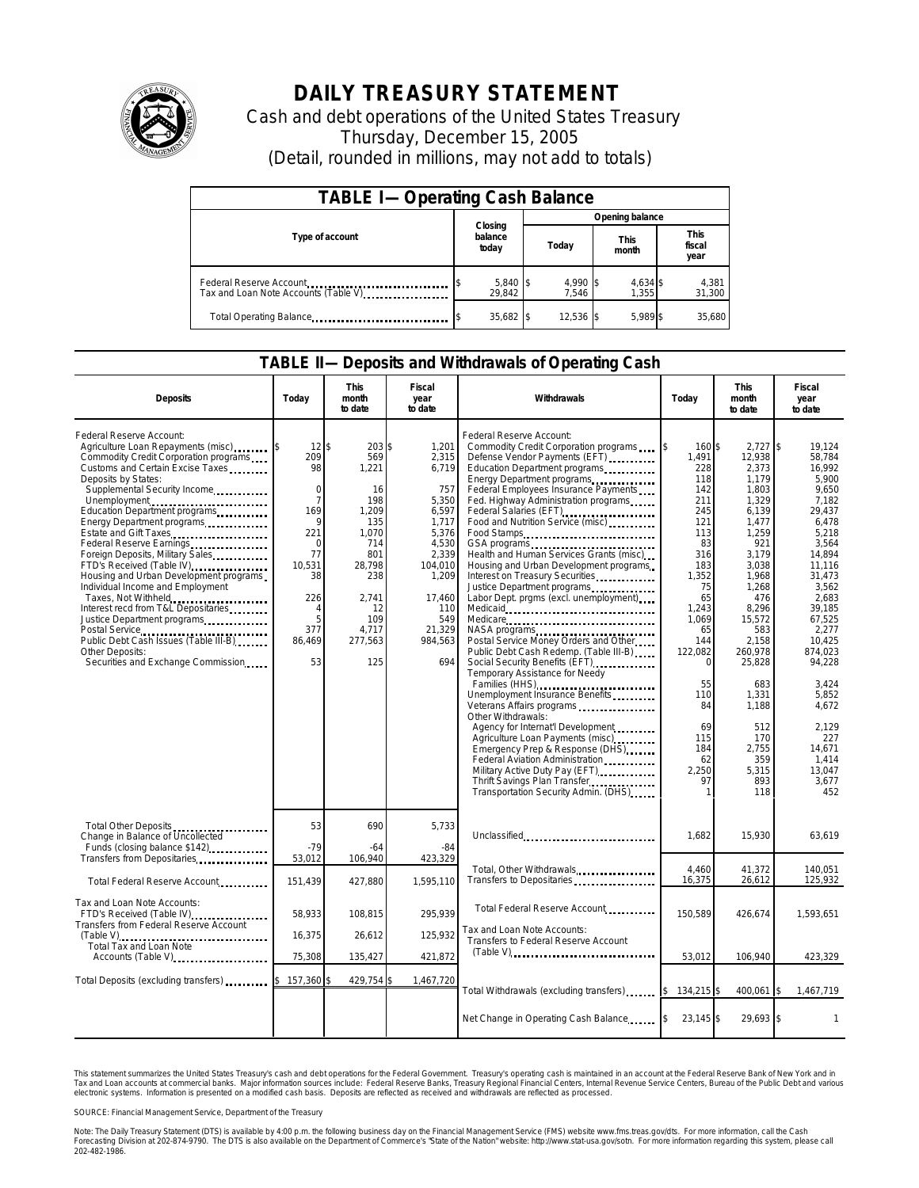

## **DAILY TREASURY STATEMENT**

Cash and debt operations of the United States Treasury Thursday, December 15, 2005 (Detail, rounded in millions, may not add to totals)

| <b>TABLE I-Operating Cash Balance</b>                           |                             |                   |                      |                               |  |  |  |
|-----------------------------------------------------------------|-----------------------------|-------------------|----------------------|-------------------------------|--|--|--|
|                                                                 |                             | Opening balance   |                      |                               |  |  |  |
| Type of account                                                 | Closing<br>balance<br>today | Today             | <b>This</b><br>month | <b>This</b><br>fiscal<br>year |  |  |  |
| Federal Reserve Account<br>Tax and Loan Note Accounts (Table V) | $5,840$ \$<br>29.842        | 4,990 \$<br>7.546 | 4,634 \$<br>1.355    | 4,381<br>31,300               |  |  |  |
| Total Operating Balance                                         | 35,682 \$                   | 12.536 \$         | 5.989 \$             | 35.680                        |  |  |  |

## **TABLE II—Deposits and Withdrawals of Operating Cash**

| <b>Deposits</b>                                                                                                                                                                                                                                                                                                                                                                                                                                                                                                                                                                                                                                                                      | Today                                                                                                                                                        | This<br>month<br>to date                                                                                                                     | Fiscal<br>year<br>to date                                                                                                                                    | Withdrawals                                                                                                                                                                                                                                                                                                                                                                                                                                                                                                                                                                                                                                                                                                                                                                                                                                                                                                                                                                                                                                                                                | Today                                                                                                                                                                                                                | This<br>month<br>to date                                                                                                                                                                                                                                                    | Fiscal<br>year<br>to date                                                                                                                                                                                                                                                                      |
|--------------------------------------------------------------------------------------------------------------------------------------------------------------------------------------------------------------------------------------------------------------------------------------------------------------------------------------------------------------------------------------------------------------------------------------------------------------------------------------------------------------------------------------------------------------------------------------------------------------------------------------------------------------------------------------|--------------------------------------------------------------------------------------------------------------------------------------------------------------|----------------------------------------------------------------------------------------------------------------------------------------------|--------------------------------------------------------------------------------------------------------------------------------------------------------------|--------------------------------------------------------------------------------------------------------------------------------------------------------------------------------------------------------------------------------------------------------------------------------------------------------------------------------------------------------------------------------------------------------------------------------------------------------------------------------------------------------------------------------------------------------------------------------------------------------------------------------------------------------------------------------------------------------------------------------------------------------------------------------------------------------------------------------------------------------------------------------------------------------------------------------------------------------------------------------------------------------------------------------------------------------------------------------------------|----------------------------------------------------------------------------------------------------------------------------------------------------------------------------------------------------------------------|-----------------------------------------------------------------------------------------------------------------------------------------------------------------------------------------------------------------------------------------------------------------------------|------------------------------------------------------------------------------------------------------------------------------------------------------------------------------------------------------------------------------------------------------------------------------------------------|
| Federal Reserve Account:<br>Agriculture Loan Repayments (misc)<br>Commodity Credit Corporation programs<br>Customs and Certain Excise Taxes<br>Deposits by States:<br>Supplemental Security Income<br>Unemployment<br>Education Department programs<br>Energy Department programs<br>Estate and Gift Taxes<br>Federal Reserve Earnings<br>Foreign Deposits, Military Sales<br>FTD's Received (Table IV)<br>Housing and Urban Development programs<br>Individual Income and Employment<br>Taxes, Not Withheld<br>Interest recd from T&L Depositaries<br>Justice Department programs<br>Public Debt Cash Issues (Table III-B)<br>Other Deposits:<br>Securities and Exchange Commission | $12$ \$<br>209<br>98<br>$\Omega$<br>$\overline{7}$<br>169<br>q<br>221<br>$\Omega$<br>77<br>10.531<br>38<br>226<br>$\overline{4}$<br>5<br>377<br>86,469<br>53 | 203 \$<br>569<br>1,221<br>16<br>198<br>1,209<br>135<br>1,070<br>714<br>801<br>28.798<br>238<br>2.741<br>12<br>109<br>4.717<br>277,563<br>125 | 1,201<br>2,315<br>6,719<br>757<br>5,350<br>6,597<br>1,717<br>5,376<br>4,530<br>2.339<br>104,010<br>1,209<br>17.460<br>110<br>549<br>21,329<br>984,563<br>694 | Federal Reserve Account:<br>Commodity Credit Corporation programs<br>Defense Vendor Payments (EFT)<br>Education Department programs<br>Energy Department programs<br>Federal Employees Insurance Payments<br>Fed. Highway Administration programs<br>Federal Salaries (EFT)<br><br>Food and Nutrition Service (misc)<br>Food Stamps<br>Health and Human Services Grants (misc)<br>Housing and Urban Development programs<br>Interest on Treasury Securities.<br>Justice Department programs<br>Labor Dept. prgms (excl. unemployment)<br>Medicare<br>NASA programs<br>Postal Service Money Orders and Other<br>Public Debt Cash Redemp. (Table III-B)<br>Social Security Benefits (EFT)<br>Temporary Assistance for Needy<br>Families (HHS)<br>Unemployment Insurance Benefits<br>Veterans Affairs programs<br>Other Withdrawals:<br>Agency for Internat'l Development<br>Agriculture Loan Payments (misc)<br>Emergency Prep & Response (DHS)<br>Federal Aviation Administration<br>Military Active Duty Pay (EFT)<br>Thrift Savings Plan Transfer<br>Transportation Security Admin. (DHS) | 160 \$<br>1.491<br>228<br>118<br>142<br>211<br>245<br>121<br>113<br>83<br>316<br>183<br>1,352<br>75<br>65<br>1,243<br>1,069<br>65<br>144<br>122,082<br>0<br>55<br>110<br>84<br>69<br>115<br>184<br>62<br>2,250<br>97 | $2,727$ \$<br>12.938<br>2,373<br>1.179<br>1.803<br>1,329<br>6,139<br>1,477<br>1,259<br>921<br>3.179<br>3.038<br>1,968<br>1,268<br>476<br>8,296<br>15,572<br>583<br>2,158<br>260,978<br>25,828<br>683<br>1,331<br>1,188<br>512<br>170<br>2.755<br>359<br>5,315<br>893<br>118 | 19.124<br>58.784<br>16,992<br>5.900<br>9.650<br>7,182<br>29,437<br>6,478<br>5,218<br>3,564<br>14.894<br>11.116<br>31,473<br>3,562<br>2.683<br>39,185<br>67,525<br>2.277<br>10.425<br>874.023<br>94.228<br>3,424<br>5,852<br>4.672<br>2,129<br>227<br>14.671<br>1.414<br>13,047<br>3.677<br>452 |
| Total Other Deposits<br>Change in Balance of Uncollected<br>Funds (closing balance \$142)                                                                                                                                                                                                                                                                                                                                                                                                                                                                                                                                                                                            | 53<br>$-79$                                                                                                                                                  | 690<br>-64                                                                                                                                   | 5,733<br>-84                                                                                                                                                 | Unclassified                                                                                                                                                                                                                                                                                                                                                                                                                                                                                                                                                                                                                                                                                                                                                                                                                                                                                                                                                                                                                                                                               | 1,682                                                                                                                                                                                                                | 15,930                                                                                                                                                                                                                                                                      | 63,619                                                                                                                                                                                                                                                                                         |
| Transfers from Depositaries<br>Total Federal Reserve Account                                                                                                                                                                                                                                                                                                                                                                                                                                                                                                                                                                                                                         | 53,012<br>151,439                                                                                                                                            | 106,940<br>427,880                                                                                                                           | 423,329<br>1,595,110                                                                                                                                         | Total, Other Withdrawals<br>Transfers to Depositaries                                                                                                                                                                                                                                                                                                                                                                                                                                                                                                                                                                                                                                                                                                                                                                                                                                                                                                                                                                                                                                      | 4.460<br>16,375                                                                                                                                                                                                      | 41,372<br>26,612                                                                                                                                                                                                                                                            | 140,051<br>125,932                                                                                                                                                                                                                                                                             |
| Tax and Loan Note Accounts:<br>FTD's Received (Table IV)<br>Transfers from Federal Reserve Account<br>Total Tax and Loan Note                                                                                                                                                                                                                                                                                                                                                                                                                                                                                                                                                        | 58,933<br>16,375                                                                                                                                             | 108,815<br>26,612                                                                                                                            | 295,939<br>125,932                                                                                                                                           | Total Federal Reserve Account<br>Tax and Loan Note Accounts:<br>Transfers to Federal Reserve Account                                                                                                                                                                                                                                                                                                                                                                                                                                                                                                                                                                                                                                                                                                                                                                                                                                                                                                                                                                                       | 150,589                                                                                                                                                                                                              | 426,674                                                                                                                                                                                                                                                                     | 1,593,651                                                                                                                                                                                                                                                                                      |
| Accounts (Table V)                                                                                                                                                                                                                                                                                                                                                                                                                                                                                                                                                                                                                                                                   | 75,308                                                                                                                                                       | 135,427                                                                                                                                      | 421,872                                                                                                                                                      |                                                                                                                                                                                                                                                                                                                                                                                                                                                                                                                                                                                                                                                                                                                                                                                                                                                                                                                                                                                                                                                                                            | 53,012                                                                                                                                                                                                               | 106,940                                                                                                                                                                                                                                                                     | 423,329                                                                                                                                                                                                                                                                                        |
| Total Deposits (excluding transfers) [10001]                                                                                                                                                                                                                                                                                                                                                                                                                                                                                                                                                                                                                                         | $$157,360$ \$                                                                                                                                                | 429,754                                                                                                                                      | 1,467,720                                                                                                                                                    | Total Withdrawals (excluding transfers)                                                                                                                                                                                                                                                                                                                                                                                                                                                                                                                                                                                                                                                                                                                                                                                                                                                                                                                                                                                                                                                    | $134,215$ \$<br>$\mathsf{I}$                                                                                                                                                                                         | 400,061 \$                                                                                                                                                                                                                                                                  | 1,467,719                                                                                                                                                                                                                                                                                      |
|                                                                                                                                                                                                                                                                                                                                                                                                                                                                                                                                                                                                                                                                                      |                                                                                                                                                              |                                                                                                                                              |                                                                                                                                                              | Net Change in Operating Cash Balance                                                                                                                                                                                                                                                                                                                                                                                                                                                                                                                                                                                                                                                                                                                                                                                                                                                                                                                                                                                                                                                       | $23,145$ \$                                                                                                                                                                                                          | 29,693 \$                                                                                                                                                                                                                                                                   | $\mathbf{1}$                                                                                                                                                                                                                                                                                   |

This statement summarizes the United States Treasury's cash and debt operations for the Federal Government. Treasury's operating cash is maintained in an account at the Federal Reserve Bank of New York and in Tax and Loan accounts at commercial banks. Major information sources include: Federal Reserve Banks, Treasury Regional Financial Centers, Internal Revenue Service Centers, Bureau of the Public Debt and various<br>electronic s

SOURCE: Financial Management Service, Department of the Treasury

Note: The Daily Treasury Statement (DTS) is available by 4:00 p.m. the following business day on the Financial Management Service (FMS) website www.fms.treas.gov/dts. For more information, call the Cash<br>Forecasting Divisio 202-482-1986.